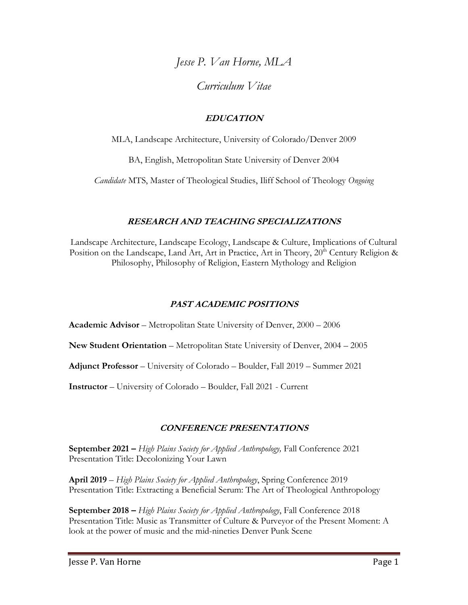*Jesse P. Van Horne, MLA*

*Curriculum Vitae*

# **EDUCATION**

MLA, Landscape Architecture, University of Colorado/Denver 2009

BA, English, Metropolitan State University of Denver 2004

*Candidate* MTS, Master of Theological Studies, Iliff School of Theology *Ongoing* 

# **RESEARCH AND TEACHING SPECIALIZATIONS**

Landscape Architecture, Landscape Ecology, Landscape & Culture, Implications of Cultural Position on the Landscape, Land Art, Art in Practice, Art in Theory, 20<sup>th</sup> Century Religion & Philosophy, Philosophy of Religion, Eastern Mythology and Religion

# **PAST ACADEMIC POSITIONS**

**Academic Advisor** – Metropolitan State University of Denver, 2000 – 2006

**New Student Orientation** – Metropolitan State University of Denver, 2004 – 2005

**Adjunct Professor** – University of Colorado – Boulder, Fall 2019 – Summer 2021

**Instructor** – University of Colorado – Boulder, Fall 2021 - Current

# **CONFERENCE PRESENTATIONS**

**September 2021 –** *High Plains Society for Applied Anthropology,* Fall Conference 2021 Presentation Title: Decolonizing Your Lawn

**April 2019** – *High Plains Society for Applied Anthropology*, Spring Conference 2019 Presentation Title: Extracting a Beneficial Serum: The Art of Theological Anthropology

**September 2018 –** *High Plains Society for Applied Anthropology*, Fall Conference 2018 Presentation Title: Music as Transmitter of Culture & Purveyor of the Present Moment: A look at the power of music and the mid-nineties Denver Punk Scene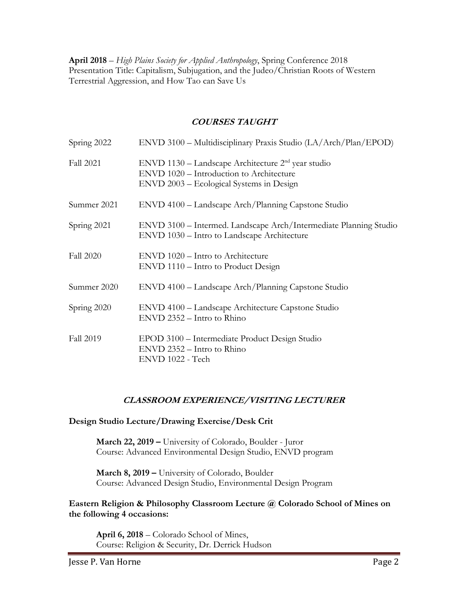**April 2018** – *High Plains Society for Applied Anthropology*, Spring Conference 2018 Presentation Title: Capitalism, Subjugation, and the Judeo/Christian Roots of Western Terrestrial Aggression, and How Tao can Save Us

## **COURSES TAUGHT**

| Spring 2022      | $ENVD 3100 - Multidisciplinary Praxis Studio (LA/Arch/Plan/EPOD)$                                                                              |
|------------------|------------------------------------------------------------------------------------------------------------------------------------------------|
| <b>Fall 2021</b> | $ENVD$ 1130 – Landscape Architecture $2nd$ year studio<br>ENVD 1020 - Introduction to Architecture<br>ENVD 2003 – Ecological Systems in Design |
| Summer 2021      | ENVD 4100 – Landscape Arch/Planning Capstone Studio                                                                                            |
| Spring 2021      | ENVD 3100 - Intermed. Landscape Arch/Intermediate Planning Studio<br>ENVD 1030 - Intro to Landscape Architecture                               |
| <b>Fall 2020</b> | ENVD 1020 – Intro to Architecture<br>ENVD 1110 – Intro to Product Design                                                                       |
| Summer 2020      | ENVD 4100 – Landscape Arch/Planning Capstone Studio                                                                                            |
| Spring 2020      | ENVD 4100 - Landscape Architecture Capstone Studio<br>$ENVD 2352 - Intro to Rhino$                                                             |
| Fall 2019        | EPOD 3100 - Intermediate Product Design Studio<br>$ENVD 2352 - Intro to Rhino$<br>ENVD 1022 - Tech                                             |

## **CLASSROOM EXPERIENCE/VISITING LECTURER**

**Design Studio Lecture/Drawing Exercise/Desk Crit**

**March 22, 2019 –** University of Colorado, Boulder - Juror Course: Advanced Environmental Design Studio, ENVD program

**March 8, 2019 –** University of Colorado, Boulder Course: Advanced Design Studio, Environmental Design Program

#### **Eastern Religion & Philosophy Classroom Lecture @ Colorado School of Mines on the following 4 occasions:**

**April 6, 2018** – Colorado School of Mines, Course: Religion & Security, Dr. Derrick Hudson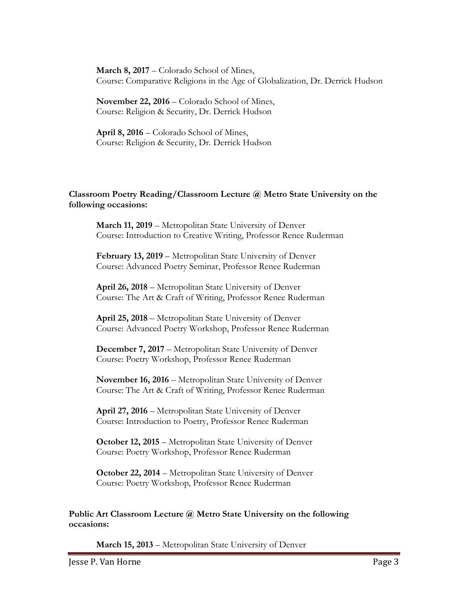**March 8, 2017** – Colorado School of Mines, Course: Comparative Religions in the Age of Globalization, Dr. Derrick Hudson

**November 22, 2016** – Colorado School of Mines, Course: Religion & Security, Dr. Derrick Hudson

**April 8, 2016** – Colorado School of Mines, Course: Religion & Security, Dr. Derrick Hudson

#### **Classroom Poetry Reading/Classroom Lecture @ Metro State University on the following occasions:**

**March 11, 2019** – Metropolitan State University of Denver Course: Introduction to Creative Writing, Professor Renee Ruderman

**February 13, 2019** – Metropolitan State University of Denver Course: Advanced Poetry Seminar, Professor Renee Ruderman

**April 26, 2018** – Metropolitan State University of Denver Course: The Art & Craft of Writing, Professor Renee Ruderman

**April 25, 2018** – Metropolitan State University of Denver Course: Advanced Poetry Workshop, Professor Renee Ruderman

**December 7, 2017** – Metropolitan State University of Denver Course: Poetry Workshop, Professor Renee Ruderman

**November 16, 2016** – Metropolitan State University of Denver Course: The Art & Craft of Writing, Professor Renee Ruderman

**April 27, 2016** – Metropolitan State University of Denver Course: Introduction to Poetry, Professor Renee Ruderman

**October 12, 2015** – Metropolitan State University of Denver Course: Poetry Workshop, Professor Renee Ruderman

**October 22, 2014** – Metropolitan State University of Denver Course: Poetry Workshop, Professor Renee Ruderman

#### **Public Art Classroom Lecture @ Metro State University on the following occasions:**

**March 15, 2013** – Metropolitan State University of Denver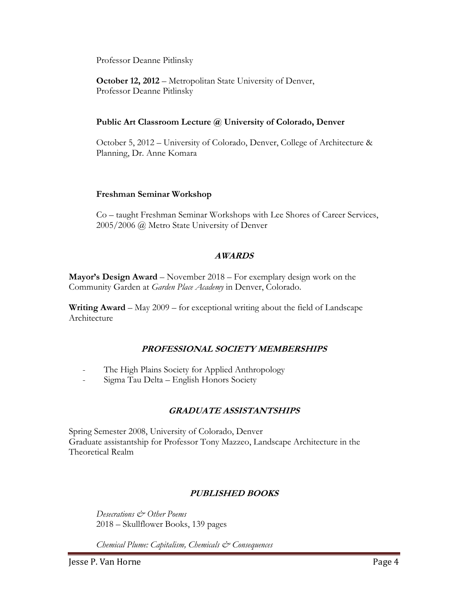Professor Deanne Pitlinsky

**October 12, 2012** – Metropolitan State University of Denver, Professor Deanne Pitlinsky

#### **Public Art Classroom Lecture @ University of Colorado, Denver**

October 5, 2012 – University of Colorado, Denver, College of Architecture & Planning, Dr. Anne Komara

#### **Freshman Seminar Workshop**

Co – taught Freshman Seminar Workshops with Lee Shores of Career Services, 2005/2006 @ Metro State University of Denver

## **AWARDS**

**Mayor's Design Award** – November 2018 – For exemplary design work on the Community Garden at *Garden Place Academy* in Denver, Colorado.

**Writing Award** – May 2009 – for exceptional writing about the field of Landscape Architecture

# **PROFESSIONAL SOCIETY MEMBERSHIPS**

- The High Plains Society for Applied Anthropology
- Sigma Tau Delta English Honors Society

## **GRADUATE ASSISTANTSHIPS**

Spring Semester 2008, University of Colorado, Denver Graduate assistantship for Professor Tony Mazzeo, Landscape Architecture in the Theoretical Realm

# **PUBLISHED BOOKS**

*Desecrations & Other Poems* 2018 – Skullflower Books, 139 pages

*Chemical Plume: Capitalism, Chemicals & Consequences*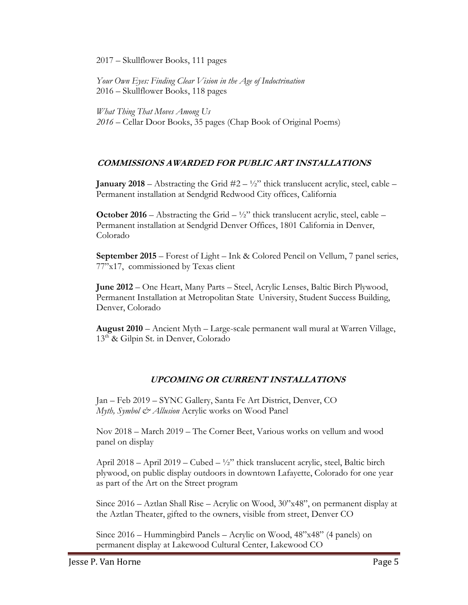2017 – Skullflower Books, 111 pages

*Your Own Eyes: Finding Clear Vision in the Age of Indoctrination* 2016 – Skullflower Books, 118 pages

*What Thing That Moves Among Us 2016 –* Cellar Door Books, 35 pages (Chap Book of Original Poems)

## **COMMISSIONS AWARDED FOR PUBLIC ART INSTALLATIONS**

**January 2018** – Abstracting the Grid  $#2 - \frac{1}{2}$  thick translucent acrylic, steel, cable – Permanent installation at Sendgrid Redwood City offices, California

**October 2016** – Abstracting the Grid  $-\frac{1}{2}$ " thick translucent acrylic, steel, cable – Permanent installation at Sendgrid Denver Offices, 1801 California in Denver, Colorado

**September 2015** – Forest of Light – Ink & Colored Pencil on Vellum, 7 panel series, 77"x17, commissioned by Texas client

**June 2012** – One Heart, Many Parts – Steel, Acrylic Lenses, Baltic Birch Plywood, Permanent Installation at Metropolitan State University, Student Success Building, Denver, Colorado

**August 2010** – Ancient Myth – Large-scale permanent wall mural at Warren Village,  $13<sup>th</sup>$  & Gilpin St. in Denver, Colorado

# **UPCOMING OR CURRENT INSTALLATIONS**

Jan – Feb 2019 – SYNC Gallery, Santa Fe Art District, Denver, CO *Myth, Symbol & Allusion* Acrylic works on Wood Panel

Nov 2018 – March 2019 – The Corner Beet, Various works on vellum and wood panel on display

April 2018 – April 2019 – Cubed –  $\frac{1}{2}$ " thick translucent acrylic, steel, Baltic birch plywood, on public display outdoors in downtown Lafayette, Colorado for one year as part of the Art on the Street program

Since 2016 – Aztlan Shall Rise – Acrylic on Wood, 30"x48", on permanent display at the Aztlan Theater, gifted to the owners, visible from street, Denver CO

Since 2016 – Hummingbird Panels – Acrylic on Wood, 48"x48" (4 panels) on permanent display at Lakewood Cultural Center, Lakewood CO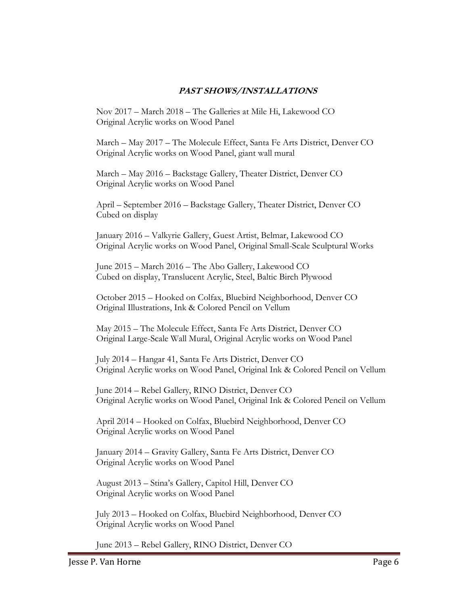#### **PAST SHOWS/INSTALLATIONS**

Nov 2017 – March 2018 – The Galleries at Mile Hi, Lakewood CO Original Acrylic works on Wood Panel

March – May 2017 – The Molecule Effect, Santa Fe Arts District, Denver CO Original Acrylic works on Wood Panel, giant wall mural

March – May 2016 – Backstage Gallery, Theater District, Denver CO Original Acrylic works on Wood Panel

April – September 2016 – Backstage Gallery, Theater District, Denver CO Cubed on display

January 2016 – Valkyrie Gallery, Guest Artist, Belmar, Lakewood CO Original Acrylic works on Wood Panel, Original Small-Scale Sculptural Works

June 2015 – March 2016 – The Abo Gallery, Lakewood CO Cubed on display, Translucent Acrylic, Steel, Baltic Birch Plywood

October 2015 – Hooked on Colfax, Bluebird Neighborhood, Denver CO Original Illustrations, Ink & Colored Pencil on Vellum

May 2015 – The Molecule Effect, Santa Fe Arts District, Denver CO Original Large-Scale Wall Mural, Original Acrylic works on Wood Panel

July 2014 – Hangar 41, Santa Fe Arts District, Denver CO Original Acrylic works on Wood Panel, Original Ink & Colored Pencil on Vellum

June 2014 – Rebel Gallery, RINO District, Denver CO Original Acrylic works on Wood Panel, Original Ink & Colored Pencil on Vellum

April 2014 – Hooked on Colfax, Bluebird Neighborhood, Denver CO Original Acrylic works on Wood Panel

January 2014 – Gravity Gallery, Santa Fe Arts District, Denver CO Original Acrylic works on Wood Panel

August 2013 – Stina's Gallery, Capitol Hill, Denver CO Original Acrylic works on Wood Panel

July 2013 – Hooked on Colfax, Bluebird Neighborhood, Denver CO Original Acrylic works on Wood Panel

June 2013 – Rebel Gallery, RINO District, Denver CO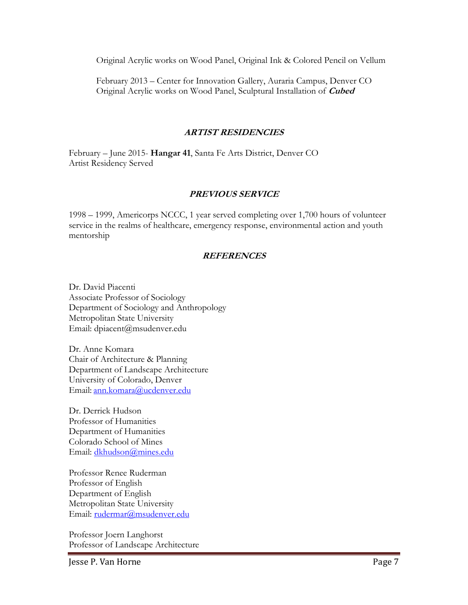Original Acrylic works on Wood Panel, Original Ink & Colored Pencil on Vellum

February 2013 – Center for Innovation Gallery, Auraria Campus, Denver CO Original Acrylic works on Wood Panel, Sculptural Installation of **Cubed**

## **ARTIST RESIDENCIES**

February – June 2015- **Hangar 41**, Santa Fe Arts District, Denver CO Artist Residency Served

## **PREVIOUS SERVICE**

1998 – 1999, Americorps NCCC, 1 year served completing over 1,700 hours of volunteer service in the realms of healthcare, emergency response, environmental action and youth mentorship

## **REFERENCES**

Dr. David Piacenti Associate Professor of Sociology Department of Sociology and Anthropology Metropolitan State University Email: dpiacent@msudenver.edu

Dr. Anne Komara Chair of Architecture & Planning Department of Landscape Architecture University of Colorado, Denver Email: [ann.komara@ucdenver.edu](mailto:ann.komara@ucdenver.edu)

Dr. Derrick Hudson Professor of Humanities Department of Humanities Colorado School of Mines Email: [dkhudson@mines.edu](mailto:dkhudson@mines.edu)

Professor Renee Ruderman Professor of English Department of English Metropolitan State University Email: [rudermar@msudenver.edu](mailto:rudermar@msudenver.edu)

Professor Joern Langhorst Professor of Landscape Architecture